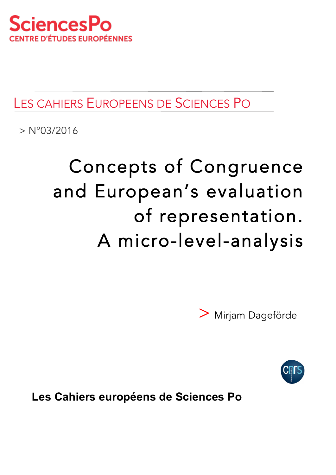

# LES CAHIERS EUROPEENS DE SCIENCES PO

 $> N^{\circ}03/2016$ 

# Concepts of Congruence and European's evaluation of representation. A micro-level-analysis

> Mirjam Dageförde



**Les Cahiers européens de Sciences Po**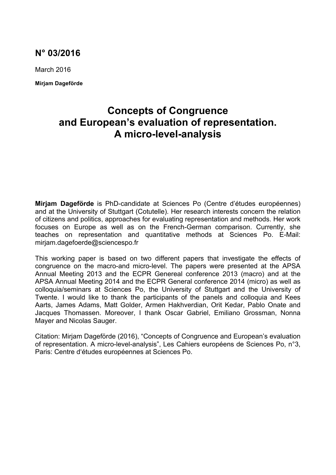### **N° 03/2016**

March 2016

**Mirjam Dageförde**

## **Concepts of Congruence and European's evaluation of representation. A micro-level-analysis**

**Mirjam Dageförde** is PhD-candidate at Sciences Po (Centre d'études européennes) and at the University of Stuttgart (Cotutelle). Her research interests concern the relation of citizens and politics, approaches for evaluating representation and methods. Her work focuses on Europe as well as on the French-German comparison. Currently, she teaches on representation and quantitative methods at Sciences Po. E-Mail: mirjam.dagefoerde@sciencespo.fr

This working paper is based on two different papers that investigate the effects of congruence on the macro-and micro-level. The papers were presented at the APSA Annual Meeting 2013 and the ECPR Genereal conference 2013 (macro) and at the APSA Annual Meeting 2014 and the ECPR General conference 2014 (micro) as well as colloquia/seminars at Sciences Po, the University of Stuttgart and the University of Twente. I would like to thank the participants of the panels and colloquia and Kees Aarts, James Adams, Matt Golder, Armen Hakhverdian, Orit Kedar, Pablo Onate and Jacques Thomassen. Moreover, I thank Oscar Gabriel, Emiliano Grossman, Nonna Mayer and Nicolas Sauger.

Citation: Mirjam Dageförde (2016), "Concepts of Congruence and European's evaluation of representation. A micro-level-analysis", Les Cahiers européens de Sciences Po, n°3, Paris: Centre d'études européennes at Sciences Po.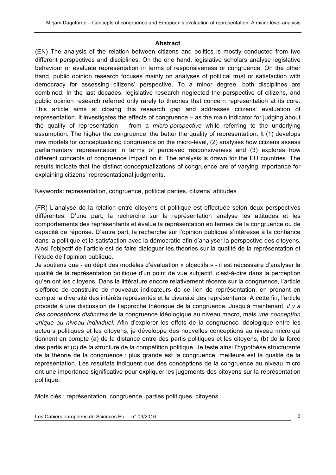#### **Abstract**

(EN) The analysis of the relation between citizens and politics is mostly conducted from two different perspectives and disciplines: On the one hand, legislative scholars analyse legislative behaviour or evaluate representation in terms of responsiveness or congruence. On the other hand, public opinion research focuses mainly on analyses of political trust or satisfaction with democracy for assessing citizens' perspective. To a minor degree, both disciplines are combined: In the last decades, legislative research neglected the perspective of citizens, and public opinion research referred only rarely to theories that concern representation at its core. This article aims at closing this research gap and addresses citizens' evaluation of representation. It investigates the effects of congruence – as the main indicator for judging about the quality of representation – from a *micro-perspective* while referring to the underlying assumption: The higher the congruence, the better the quality of representation. It (1) develops new models for conceptualizing congruence on the micro-level, (2) analyses how citizens assess parliamentary representation in terms of perceived responsiveness and (3) explores how different concepts of congruence impact on it. The analysis is drawn for the EU countries. The results indicate that the distinct conceptualizations of congruence are of varying importance for explaining citizens' representational judgments.

Keywords: representation, congruence, political parties, citizens' attitudes

(FR) L'analyse de la relation entre citoyens et politique est effectuée selon deux perspectives différentes. D'une part, la recherche sur la représentation analyse les attitudes et les comportements des représentants et évalue la représentation en termes de la congruence ou de capacité de réponse. D'autre part, la recherche sur l'opinion publique s'intéresse à la confiance dans la politique et la satisfaction avec la démocratie afin d'analyser la perspective des citoyens. Ainsi l'objectif de l'article est de faire dialoguer les théories sur la qualité de la représentation et l'étude de l'opinion publique.

Je soutiens que - en dépit des modèles d'évaluation « objectifs » - il est nécessaire d'analyser la qualité de la représentation politique d'un point de vue subjectif, c'est-à-dire dans la perception qu'en ont les citoyens. Dans la littérature encore relativement récente sur la congruence, l'article s'efforce de construire de nouveaux indicateurs de ce lien de représentation, en prenant en compte la diversité des intérêts représentés et la diversité des représentants. A cette fin, l'article procède à une discussion de l'approche théorique de la congruence. Jusqu'à maintenant, *il y a des conceptions distinctes* de la congruence idéologique au niveau macro, mais *une conception unique au niveau individuel*. Afin d'explorer les effets de la congruence idéologique entre les acteurs politiques et les citoyens, je développe des nouvelles conceptions au niveau micro qui tiennent en compte (a) de la distance entre des partis politiques et les citoyens, (b) de la force des partis et (c) de la structure de la compétition politique. Je teste ainsi l'hypothèse structurante de la théorie de la congruence : plus grande est la congruence, meilleure est la qualité de la représentation. Les résultats indiquent que des conceptions de la congruence au niveau micro ont une importance significative pour expliquer les jugements des citoyens sur la représentation politique.

Mots clés : représentation, congruence, parties politiques, citoyens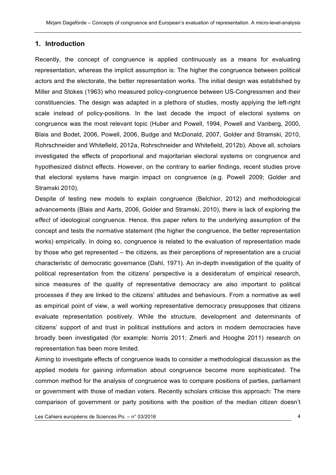#### **1. Introduction**

Recently, the concept of congruence is applied continuously as a means for evaluating representation, whereas the implicit assumption is: The higher the congruence between political actors and the electorate, the better representation works. The initial design was established by Miller and Stokes (1963) who measured policy-congruence between US-Congressmen and their constituencies. The design was adapted in a plethora of studies, mostly applying the left-right scale instead of policy-positions. In the last decade the impact of electoral systems on congruence was the most relevant topic (Huber and Powell, 1994, Powell and Vanberg, 2000, Blais and Bodet, 2006, Powell, 2006, Budge and McDonald, 2007, Golder and Stramski, 2010, Rohrschneider and Whitefield, 2012a, Rohrschneider and Whitefield, 2012b). Above all, scholars investigated the effects of proportional and majoritarian electoral systems on congruence and hypothesized distinct effects. However, on the contrary to earlier findings, recent studies prove that electoral systems have margin impact on congruence (e.g. Powell 2009; Golder and Stramski 2010).

Despite of testing new models to explain congruence (Belchior, 2012) and methodological advancements (Blais and Aarts, 2006, Golder and Stramski, 2010), there is lack of exploring the *effect* of ideological congruence. Hence, this paper refers to the underlying assumption of the concept and tests the normative statement (the higher the congruence, the better representation works) empirically. In doing so, congruence is related to the evaluation of representation made by those who get represented – the citizens, as their perceptions of representation are a crucial characteristic of democratic governance (Dahl, 1971). An in-depth investigation of the quality of political representation from the citizens' perspective is a desideratum of empirical research, since measures of the quality of representative democracy are also important to political processes if they are linked to the citizens' attitudes and behaviours. From a normative as well as empirical point of view, a well working representative democracy presupposes that citizens evaluate representation positively. While the structure, development and determinants of citizens' support of and trust in political institutions and actors in modern democracies have broadly been investigated (for example: Norris 2011; Zmerli and Hooghe 2011) research on representation has been more limited.

Aiming to investigate effects of congruence leads to consider a methodological discussion as the applied models for gaining information about congruence become more sophisticated. The common method for the analysis of congruence was to compare positions of parties, parliament or government with those of median voters. Recently scholars criticise this approach: The mere comparison of government or party positions with the position of the median citizen doesn't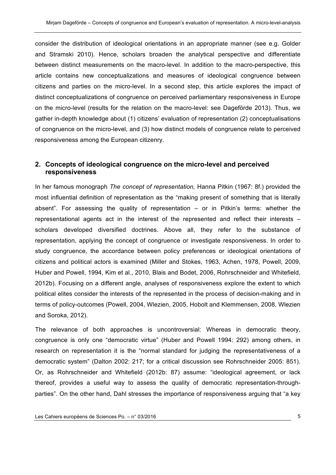consider the distribution of ideological orientations in an appropriate manner (see e.g. Golder and Stramski 2010). Hence, scholars broaden the analytical perspective and differentiate between distinct measurements on the macro-level. In addition to the macro-perspective, this article contains new conceptualizations and measures of ideological congruence between citizens and parties on the micro-level. In a second step, this article explores the impact of distinct conceptualizations of congruence on perceived parliamentary responsiveness in Europe on the micro-level (results for the relation on the macro-level: see Dageförde 2013). Thus, we gather in-depth knowledge about (1) citizens' evaluation of representation (2) conceptualisations of congruence on the micro-level, and (3) how distinct models of congruence relate to perceived responsiveness among the European citizenry.

#### **2. Concepts of ideological congruence on the micro-level and perceived responsiveness**

In her famous monograph *The concept of representation,* Hanna Pitkin (1967: 8f.) provided the most influential definition of representation as the "making present of something that is literally absent". For assessing the quality of representation – or in Pitkin's terms: whether the representational agents act in the interest of the represented and reflect their interests – scholars developed diversified doctrines. Above all, they refer to the substance of representation, applying the concept of congruence or investigate responsiveness. In order to study congruence, the accordance between policy preferences or ideological orientations of citizens and political actors is examined (Miller and Stokes, 1963, Achen, 1978, Powell, 2009, Huber and Powell, 1994, Kim et al., 2010, Blais and Bodet, 2006, Rohrschneider and Whitefield, 2012b). Focusing on a different angle, analyses of responsiveness explore the extent to which political elites consider the interests of the represented in the process of decision-making and in terms of policy-outcomes (Powell, 2004, Wlezien, 2005, Hobolt and Klemmensen, 2008, Wlezien and Soroka, 2012).

The relevance of both approaches is uncontroversial: Whereas in democratic theory, congruence is only one "democratic virtue" (Huber and Powell 1994: 292) among others, in research on representation it is the "normal standard for judging the representativeness of a democratic system" (Dalton 2002: 217; for a critical discussion see Rohrschneider 2005: 851). Or, as Rohrschneider and Whitefield (2012b: 87) assume: "ideological agreement, or lack thereof, provides a useful way to assess the quality of democratic representation-throughparties". On the other hand, Dahl stresses the importance of responsiveness arguing that "a key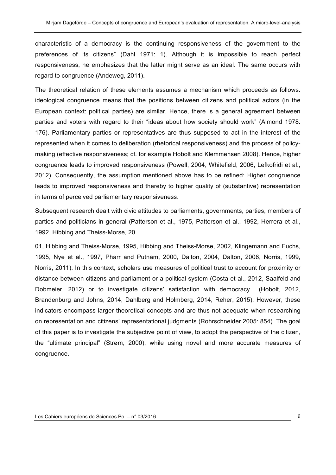characteristic of a democracy is the continuing responsiveness of the government to the preferences of its citizens" (Dahl 1971: 1). Although it is impossible to reach perfect responsiveness, he emphasizes that the latter might serve as an ideal. The same occurs with regard to congruence (Andeweg, 2011).

The theoretical relation of these elements assumes a mechanism which proceeds as follows: ideological congruence means that the positions between citizens and political actors (in the European context: political parties) are similar. Hence, there is a general agreement between parties and voters with regard to their "ideas about how society should work" (Almond 1978: 176). Parliamentary parties or representatives are thus supposed to act in the interest of the represented when it comes to deliberation (rhetorical responsiveness) and the process of policymaking (effective responsiveness; cf. for example Hobolt and Klemmensen 2008). Hence, higher congruence leads to improved responsiveness (Powell, 2004, Whitefield, 2006, Lefkofridi et al., 2012). Consequently, the assumption mentioned above has to be refined: Higher congruence leads to improved responsiveness and thereby to higher quality of (substantive) representation in terms of perceived parliamentary responsiveness.

Subsequent research dealt with civic attitudes to parliaments, governments, parties, members of parties and politicians in general (Patterson et al., 1975, Patterson et al., 1992, Herrera et al., 1992, Hibbing and Theiss-Morse, 20

01, Hibbing and Theiss-Morse, 1995, Hibbing and Theiss-Morse, 2002, Klingemann and Fuchs, 1995, Nye et al., 1997, Pharr and Putnam, 2000, Dalton, 2004, Dalton, 2006, Norris, 1999, Norris, 2011). In this context, scholars use measures of political trust to account for proximity or distance between citizens and parliament or a political system (Costa et al., 2012, Saalfeld and Dobmeier, 2012) or to investigate citizens' satisfaction with democracy (Hobolt, 2012, Brandenburg and Johns, 2014, Dahlberg and Holmberg, 2014, Reher, 2015). However, these indicators encompass larger theoretical concepts and are thus not adequate when researching on representation and citizens' representational judgments (Rohrschneider 2005: 854). The goal of this paper is to investigate the subjective point of view, to adopt the perspective of the citizen, the "ultimate principal" (Strøm, 2000), while using novel and more accurate measures of congruence.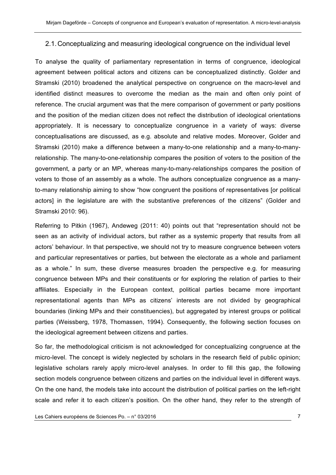#### 2.1.Conceptualizing and measuring ideological congruence on the individual level

To analyse the quality of parliamentary representation in terms of congruence, ideological agreement between political actors and citizens can be conceptualized distinctly. Golder and Stramski (2010) broadened the analytical perspective on congruence on the macro-level and identified distinct measures to overcome the median as the main and often only point of reference. The crucial argument was that the mere comparison of government or party positions and the position of the median citizen does not reflect the distribution of ideological orientations appropriately. It is necessary to conceptualize congruence in a variety of ways: diverse conceptualisations are discussed, as e.g. absolute and relative modes. Moreover, Golder and Stramski (2010) make a difference between a many-to-one relationship and a many-to-manyrelationship. The many-to-one-relationship compares the position of voters to the position of the government, a party or an MP, whereas many-to-many-relationships compares the position of voters to those of an assembly as a whole. The authors conceptualize congruence as a manyto-many relationship aiming to show "how congruent the positions of representatives [or political actors] in the legislature are with the substantive preferences of the citizens" (Golder and Stramski 2010: 96).

Referring to Pitkin (1967), Andeweg (2011: 40) points out that "representation should not be seen as an activity of individual actors, but rather as a systemic property that results from all actors' behaviour. In that perspective, we should not try to measure congruence between voters and particular representatives or parties, but between the electorate as a whole and parliament as a whole." In sum, these diverse measures broaden the perspective e.g. for measuring congruence between MPs and their constituents or for exploring the relation of parties to their affiliates. Especially in the European context, political parties became more important representational agents than MPs as citizens' interests are not divided by geographical boundaries (linking MPs and their constituencies), but aggregated by interest groups or political parties (Weissberg, 1978, Thomassen, 1994). Consequently, the following section focuses on the ideological agreement between citizens and parties.

So far, the methodological criticism is not acknowledged for conceptualizing congruence at the micro-level. The concept is widely neglected by scholars in the research field of public opinion; legislative scholars rarely apply micro-level analyses. In order to fill this gap, the following section models congruence between citizens and parties on the individual level in different ways. On the one hand, the models take into account the distribution of political parties on the left-right scale and refer it to each citizen's position. On the other hand, they refer to the strength of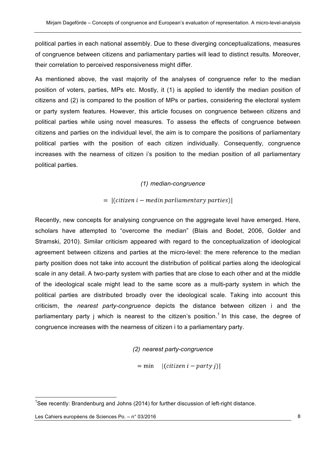political parties in each national assembly. Due to these diverging conceptualizations, measures of congruence between citizens and parliamentary parties will lead to distinct results. Moreover, their correlation to perceived responsiveness might differ.

As mentioned above, the vast majority of the analyses of congruence refer to the median position of voters, parties, MPs etc. Mostly, it (1) is applied to identify the median position of citizens and (2) is compared to the position of MPs or parties, considering the electoral system or party system features. However, this article focuses on congruence between citizens and political parties while using novel measures. To assess the effects of congruence between citizens and parties on the individual level, the aim is to compare the positions of parliamentary political parties with the position of each citizen individually. Consequently, congruence increases with the nearness of citizen i's position to the median position of all parliamentary political parties.

#### *(1) median-congruence*

#### $= |(citizen\ i - median\ parliamentary\ parties)|$

Recently, new concepts for analysing congruence on the aggregate level have emerged. Here, scholars have attempted to "overcome the median" (Blais and Bodet, 2006, Golder and Stramski, 2010). Similar criticism appeared with regard to the conceptualization of ideological agreement between citizens and parties at the micro-level: the mere reference to the median party position does not take into account the distribution of political parties along the ideological scale in any detail. A two-party system with parties that are close to each other and at the middle of the ideological scale might lead to the same score as a multi-party system in which the political parties are distributed broadly over the ideological scale. Taking into account this criticism, the *nearest party-congruence* depicts the distance between citizen i and the parliamentary party j which is nearest to the citizen's position.<sup>1</sup> In this case, the degree of congruence increases with the nearness of citizen i to a parliamentary party.

#### *(2) nearest party-congruence*

 $=$  min  $|(citizen\ i - party\ j)|$ 

 <sup>1</sup> See recently: Brandenburg and Johns (2014) for further discussion of left-right distance.

Les Cahiers européens de Sciences Po. – n° 03/2016 **8** and the state of the state of the state of the state of the state of the state of the state of the state of the state of the state of the state of the state of the sta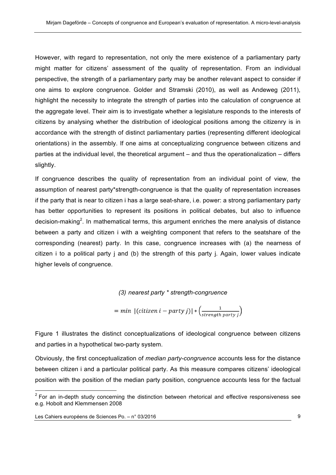However, with regard to representation, not only the mere existence of a parliamentary party might matter for citizens' assessment of the quality of representation. From an individual perspective, the strength of a parliamentary party may be another relevant aspect to consider if one aims to explore congruence. Golder and Stramski (2010), as well as Andeweg (2011), highlight the necessity to integrate the strength of parties into the calculation of congruence at the aggregate level. Their aim is to investigate whether a legislature responds to the interests of citizens by analysing whether the distribution of ideological positions among the citizenry is in accordance with the strength of distinct parliamentary parties (representing different ideological orientations) in the assembly. If one aims at conceptualizing congruence between citizens and parties at the individual level, the theoretical argument – and thus the operationalization – differs slightly.

If congruence describes the quality of representation from an individual point of view, the assumption of nearest party\*strength-congruence is that the quality of representation increases if the party that is near to citizen i has a large seat-share, i.e. power: a strong parliamentary party has better opportunities to represent its positions in political debates, but also to influence decision-making<sup>2</sup>. In mathematical terms, this argument enriches the mere analysis of distance between a party and citizen i with a weighting component that refers to the seatshare of the corresponding (nearest) party. In this case, congruence increases with (a) the nearness of citizen i to a political party j and (b) the strength of this party j. Again, lower values indicate higher levels of congruence.

*(3) nearest party \* strength-congruence*

$$
= min \ | (citizen \ i - party \ j) | * \left( \frac{1}{strength \ party \ j} \right)
$$

Figure 1 illustrates the distinct conceptualizations of ideological congruence between citizens and parties in a hypothetical two-party system.

Obviously, the first conceptualization of *median party-congruence* accounts less for the distance between citizen i and a particular political party. As this measure compares citizens' ideological position with the position of the median party position, congruence accounts less for the factual

 $2$  For an in-depth study concerning the distinction between rhetorical and effective responsiveness see e.g. Hobolt and Klemmensen 2008

Les Cahiers européens de Sciences Po. – n° 03/2016 **1998 en la contract de Sciences Po. 2008** 9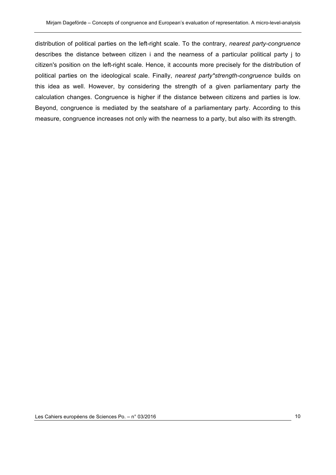distribution of political parties on the left-right scale. To the contrary, *nearest party-congruence*  describes the distance between citizen i and the nearness of a particular political party j to citizen's position on the left-right scale. Hence, it accounts more precisely for the distribution of political parties on the ideological scale. Finally, *nearest party\*strength-congruence* builds on this idea as well. However, by considering the strength of a given parliamentary party the calculation changes. Congruence is higher if the distance between citizens and parties is low. Beyond, congruence is mediated by the seatshare of a parliamentary party. According to this measure, congruence increases not only with the nearness to a party, but also with its strength.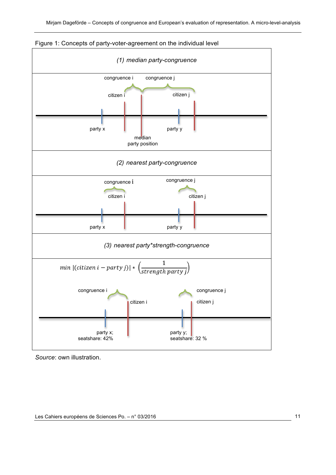



*Source*: own illustration.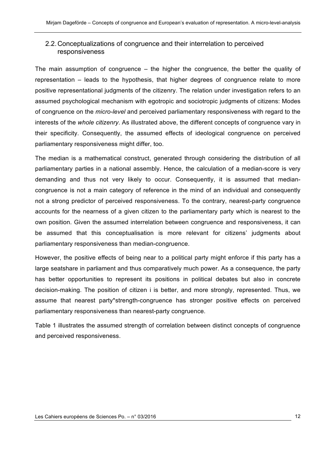#### 2.2.Conceptualizations of congruence and their interrelation to perceived responsiveness

The main assumption of congruence – the higher the congruence, the better the quality of representation – leads to the hypothesis, that higher degrees of congruence relate to more positive representational judgments of the citizenry. The relation under investigation refers to an assumed psychological mechanism with egotropic and sociotropic judgments of citizens: Modes of congruence on the *micro-level* and perceived parliamentary responsiveness with regard to the interests of the *whole citizenry*. As illustrated above, the different concepts of congruence vary in their specificity. Consequently, the assumed effects of ideological congruence on perceived parliamentary responsiveness might differ, too.

The median is a mathematical construct, generated through considering the distribution of all parliamentary parties in a national assembly. Hence, the calculation of a median-score is very demanding and thus not very likely to occur. Consequently, it is assumed that mediancongruence is not a main category of reference in the mind of an individual and consequently not a strong predictor of perceived responsiveness. To the contrary, nearest-party congruence accounts for the nearness of a given citizen to the parliamentary party which is nearest to the own position. Given the assumed interrelation between congruence and responsiveness, it can be assumed that this conceptualisation is more relevant for citizens' judgments about parliamentary responsiveness than median-congruence.

However, the positive effects of being near to a political party might enforce if this party has a large seatshare in parliament and thus comparatively much power. As a consequence, the party has better opportunities to represent its positions in political debates but also in concrete decision-making. The position of citizen i is better, and more strongly, represented. Thus, we assume that nearest party\*strength-congruence has stronger positive effects on perceived parliamentary responsiveness than nearest-party congruence.

Table 1 illustrates the assumed strength of correlation between distinct concepts of congruence and perceived responsiveness.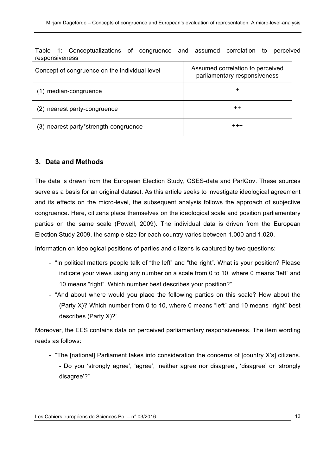| Concept of congruence on the individual level | Assumed correlation to perceived<br>parliamentary responsiveness |
|-----------------------------------------------|------------------------------------------------------------------|
| (1) median-congruence                         | ٠                                                                |
| (2) nearest party-congruence                  | $^{\mathrm{++}}$                                                 |
| (3) nearest party*strength-congruence         | $^{+++}$                                                         |

Table 1: Conceptualizations of congruence and assumed correlation to perceived responsiveness

#### **3. Data and Methods**

The data is drawn from the European Election Study, CSES-data and ParlGov. These sources serve as a basis for an original dataset. As this article seeks to investigate ideological agreement and its effects on the micro-level, the subsequent analysis follows the approach of subjective congruence. Here, citizens place themselves on the ideological scale and position parliamentary parties on the same scale (Powell, 2009). The individual data is driven from the European Election Study 2009, the sample size for each country varies between 1.000 and 1.020.

Information on ideological positions of parties and citizens is captured by two questions:

- "In political matters people talk of "the left" and "the right". What is your position? Please indicate your views using any number on a scale from 0 to 10, where 0 means "left" and 10 means "right". Which number best describes your position?"
- "And about where would you place the following parties on this scale? How about the (Party X)? Which number from 0 to 10, where 0 means "left" and 10 means "right" best describes (Party X)?"

Moreover, the EES contains data on perceived parliamentary responsiveness. The item wording reads as follows:

- "The [national] Parliament takes into consideration the concerns of [country X's] citizens. - Do you 'strongly agree', 'agree', 'neither agree nor disagree', 'disagree' or 'strongly

disagree'?"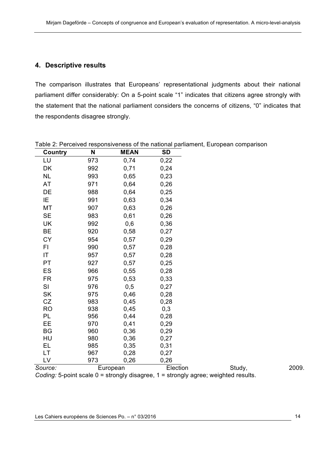#### **4. Descriptive results**

The comparison illustrates that Europeans' representational judgments about their national parliament differ considerably: On a 5-point scale "1" indicates that citizens agree strongly with the statement that the national parliament considers the concerns of citizens, "0" indicates that the respondents disagree strongly.

| <b>Country</b> | N   | <b>MEAN</b> | <b>SD</b>                                                                          |        |  |
|----------------|-----|-------------|------------------------------------------------------------------------------------|--------|--|
| LU             | 973 | 0,74        | 0,22                                                                               |        |  |
| DK             | 992 | 0,71        | 0,24                                                                               |        |  |
| NL             | 993 | 0,65        | 0,23                                                                               |        |  |
| AT             | 971 | 0,64        | 0,26                                                                               |        |  |
| DE             | 988 | 0,64        | 0,25                                                                               |        |  |
| IE             | 991 | 0,63        | 0,34                                                                               |        |  |
| МT             | 907 | 0,63        | 0,26                                                                               |        |  |
| <b>SE</b>      | 983 | 0,61        | 0,26                                                                               |        |  |
| UK             | 992 | 0,6         | 0,36                                                                               |        |  |
| <b>BE</b>      | 920 | 0,58        | 0,27                                                                               |        |  |
| CY             | 954 | 0,57        | 0,29                                                                               |        |  |
| FI             | 990 | 0,57        | 0,28                                                                               |        |  |
| IT             | 957 | 0,57        | 0,28                                                                               |        |  |
| PT             | 927 | 0,57        | 0,25                                                                               |        |  |
| ES             | 966 | 0,55        | 0,28                                                                               |        |  |
| <b>FR</b>      | 975 | 0,53        | 0,33                                                                               |        |  |
| SI             | 976 | 0,5         | 0,27                                                                               |        |  |
| SK             | 975 | 0,46        | 0,28                                                                               |        |  |
| CZ             | 983 | 0,45        | 0,28                                                                               |        |  |
| <b>RO</b>      | 938 | 0,45        | 0,3                                                                                |        |  |
| PL             | 956 | 0,44        | 0,28                                                                               |        |  |
| EE             | 970 | 0,41        | 0,29                                                                               |        |  |
| <b>BG</b>      | 960 | 0,36        | 0,29                                                                               |        |  |
| HU             | 980 | 0,36        | 0,27                                                                               |        |  |
| EL             | 985 | 0,35        | 0,31                                                                               |        |  |
| LT             | 967 | 0,28        | 0,27                                                                               |        |  |
| LV             | 973 | 0,26        | 0,26                                                                               |        |  |
| Source:        |     | European    | Election                                                                           | Study, |  |
|                |     |             | Coding: 5-point scale 0 = strongly disagree, 1 = strongly agree; weighted results. |        |  |

Table 2: Perceived responsiveness of the national parliament, European comparison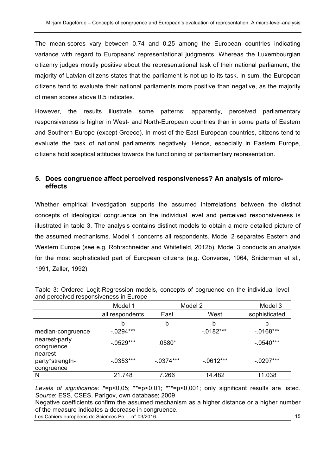The mean-scores vary between 0.74 and 0.25 among the European countries indicating variance with regard to Europeans' representational judgments. Whereas the Luxembourgian citizenry judges mostly positive about the representational task of their national parliament, the majority of Latvian citizens states that the parliament is not up to its task. In sum, the European citizens tend to evaluate their national parliaments more positive than negative, as the majority of mean scores above 0.5 indicates.

However, the results illustrate some patterns: apparently, perceived parliamentary responsiveness is higher in West- and North-European countries than in some parts of Eastern and Southern Europe (except Greece). In most of the East-European countries, citizens tend to evaluate the task of national parliaments negatively. Hence, especially in Eastern Europe, citizens hold sceptical attitudes towards the functioning of parliamentary representation.

#### **5. Does congruence affect perceived responsiveness? An analysis of microeffects**

Whether empirical investigation supports the assumed interrelations between the distinct concepts of ideological congruence on the individual level and perceived responsiveness is illustrated in table 3. The analysis contains distinct models to obtain a more detailed picture of the assumed mechanisms. Model 1 concerns all respondents. Model 2 separates Eastern and Western Europe (see e.g. Rohrschneider and Whitefield, 2012b). Model 3 conducts an analysis for the most sophisticated part of European citizens (e.g. Converse, 1964, Sniderman et al., 1991, Zaller, 1992).

|                                          | Model 1         | Model 2     |              | Model 3       |  |
|------------------------------------------|-----------------|-------------|--------------|---------------|--|
|                                          | all respondents | East        | West         | sophisticated |  |
|                                          | b               | b           | b            | b             |  |
| median-congruence                        | $-.0294***$     |             | $-0.0182***$ | $-0.0168***$  |  |
| nearest-party<br>congruence              | $-0.0529***$    | $.0580*$    |              | $-0.0540***$  |  |
| nearest<br>party*strength-<br>congruence | $-0.0353***$    | $-0.374***$ | $-.0612***$  | $-.0297***$   |  |
| N                                        | 21.748          | 7.266       | 14.482       | 11.038        |  |

Table 3: Ordered Logit-Regression models, concepts of cogruence on the individual level and perceived responsiveness in Europe

*Levels of significance:* \*=p<0,05; \*\*=p<0,01; \*\*\*=p<0,001; only significant results are listed. *Source*: ESS, CSES, Parlgov, own database; 2009

Negative coefficients confirm the assumed mechanism as a higher distance or a higher number of the measure indicates a decrease in congruence.

Les Cahiers européens de Sciences Po. – n° 03/2016 15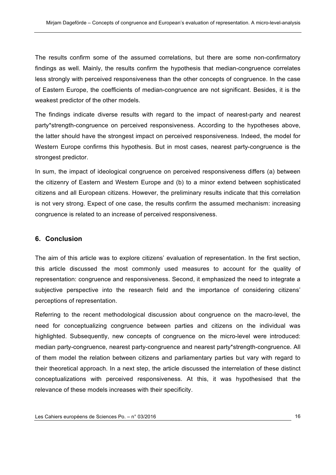The results confirm some of the assumed correlations, but there are some non-confirmatory findings as well. Mainly, the results confirm the hypothesis that median-congruence correlates less strongly with perceived responsiveness than the other concepts of congruence. In the case of Eastern Europe, the coefficients of median-congruence are not significant. Besides, it is the weakest predictor of the other models.

The findings indicate diverse results with regard to the impact of nearest-party and nearest party\*strength-congruence on perceived responsiveness. According to the hypotheses above, the latter should have the strongest impact on perceived responsiveness. Indeed, the model for Western Europe confirms this hypothesis. But in most cases, nearest party-congruence is the strongest predictor.

In sum, the impact of ideological congruence on perceived responsiveness differs (a) between the citizenry of Eastern and Western Europe and (b) to a minor extend between sophisticated citizens and all European citizens. However, the preliminary results indicate that this correlation is not very strong. Expect of one case, the results confirm the assumed mechanism: increasing congruence is related to an increase of perceived responsiveness.

#### **6. Conclusion**

The aim of this article was to explore citizens' evaluation of representation. In the first section, this article discussed the most commonly used measures to account for the quality of representation: congruence and responsiveness. Second, it emphasized the need to integrate a subjective perspective into the research field and the importance of considering citizens' perceptions of representation.

Referring to the recent methodological discussion about congruence on the macro-level, the need for conceptualizing congruence between parties and citizens on the individual was highlighted. Subsequently, new concepts of congruence on the micro-level were introduced: median party-congruence, nearest party-congruence and nearest party\*strength-congruence. All of them model the relation between citizens and parliamentary parties but vary with regard to their theoretical approach. In a next step, the article discussed the interrelation of these distinct conceptualizations with perceived responsiveness. At this, it was hypothesised that the relevance of these models increases with their specificity.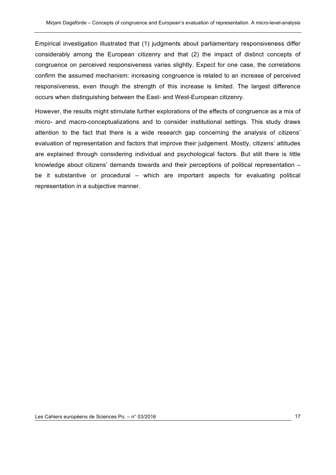Empirical investigation illustrated that (1) judgments about parliamentary responsiveness differ considerably among the European citizenry and that (2) the impact of distinct concepts of congruence on perceived responsiveness varies slightly. Expect for one case, the correlations confirm the assumed mechanism: increasing congruence is related to an increase of perceived responsiveness, even though the strength of this increase is limited. The largest difference occurs when distinguishing between the East- and West-European citizenry.

However, the results might stimulate further explorations of the effects of congruence as a mix of micro- and macro-conceptualizations and to consider institutional settings. This study draws attention to the fact that there is a wide research gap concerning the analysis of citizens' evaluation of representation and factors that improve their judgement. Mostly, citizens' attitudes are explained through considering individual and psychological factors. But still there is little knowledge about citizens' demands towards and their perceptions of political representation – be it substantive or procedural – which are important aspects for evaluating political representation in a subjective manner.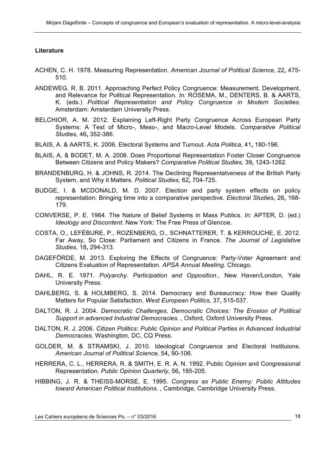#### **Literature**

- ACHEN, C. H. 1978. Measuring Representation. *American Journal of Political Science,* 22**,** 475- 510.
- ANDEWEG, R. B. 2011. Approaching Perfect Policy Congruence: Measurement, Development, and Relevance for Political Representation. *In:* ROSEMA, M., DENTERS, B. & AARTS, K. (eds.) *Political Representation and Policy Congruence in Modern Societies.* Amsterdam: Amsterdam University Press.
- BELCHIOR, A. M. 2012. Explaining Left-Right Party Congruence Across European Party Systems: A Test of Micro-, Meso-, and Macro-Level Models. *Comparative Political Studies,* 46**,** 352-386.
- BLAIS, A. & AARTS, K. 2006. Electoral Systems and Turnout. *Acta Politica,* 41**,** 180-196.
- BLAIS, A. & BODET, M. A. 2006. Does Proportional Representation Foster Closer Congruence Between Citizens and Policy Makers? *Comparative Political Studies,* 39**,** 1243-1262.
- BRANDENBURG, H. & JOHNS, R. 2014. The Declining Representatveness of the British Party System, and Why it Matters. *Political Studies,* 62**,** 704-725.
- BUDGE, I. & MCDONALD, M. D. 2007. Election and party system effects on policy representation: Bringing time into a comparative perspective. *Electoral Studies,* 26**,** 168- 179.
- CONVERSE, P. E. 1964. The Nature of Belief Systems in Mass Publics. *In:* APTER, D. (ed.) *Ideology and Discontent.* New York: The Free Press of Glencoe.
- COSTA, O., LEFÉBURE, P., ROZENBERG, O., SCHNATTERER, T. & KERROUCHE, E. 2012. Far Away, So Close: Parliament and Citizens in France. *The Journal of Legislative Studies,* 18**,** 294-313.
- DAGEFÖRDE, M. 2013. Exploring the Effects of Congruence: Party-Voter Agreement and Citizens Evaluation of Representation. *APSA Annual Meeting.* Chicago.
- DAHL, R. E. 1971. *Polyarchy. Participation and Opposition.,* New Haven/London, Yale University Press.
- DAHLBERG, S. & HOLMBERG, S. 2014. Democracy and Bureaucracy: How their Quality Matters for Popular Satisfaction. *West European Politics,* 37**,** 515-537.
- DALTON, R. J. 2004. *Democratic Challenges, Democratic Choices: The Erosion of Political Support in advanced Industrial Democracies. ,* Oxford, Oxford University Press.
- DALTON, R. J. 2006. *Citizen Politics: Public Opinion and Political Parties in Advanced Industrial Democracies,* Washington, DC, CQ Press.
- GOLDER, M. & STRAMSKI, J. 2010. Ideological Congruence and Electoral Instituions. *American Journal of Political Science,* 54**,** 90-106.
- HERRERA, C. L., HERRERA, R. & SMITH, E. R. A. N. 1992. Public Opinion and Congressional Representation. *Public Opinion Quarterly,* 56**,** 185-205.
- HIBBING, J. R. & THEISS-MORSE, E. 1995. *Congress as Public Enemy: Public Attitudes toward American Political Institutions. ,* Cambridge, Cambridge University Press.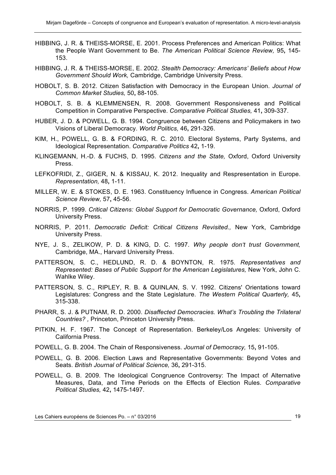- HIBBING, J. R. & THEISS-MORSE, E. 2001. Process Preferences and American Politics: What the People Want Government to Be. *The American Political Science Review,* 95**,** 145- 153.
- HIBBING, J. R. & THEISS-MORSE, E. 2002. *Stealth Democracy: Americans' Beliefs about How Government Should Work,* Cambridge, Cambridge University Press.
- HOBOLT, S. B. 2012. Citizen Satisfaction with Democracy in the European Union. *Journal of Common Market Studies,* 50**,** 88-105.
- HOBOLT, S. B. & KLEMMENSEN, R. 2008. Government Responsiveness and Political Competition in Comparative Perspective. *Comparative Political Studies,* 41**,** 309-337.
- HUBER, J. D. & POWELL, G. B. 1994. Congruence between Citizens and Policymakers in two Visions of Liberal Democracy. *World Politics,* 46**,** 291-326.
- KIM, H., POWELL, G. B. & FORDING, R. C. 2010. Electoral Systems, Party Systems, and Ideological Representation. *Comparative Politics* 42**,** 1-19.
- KLINGEMANN, H.-D. & FUCHS, D. 1995. *Citizens and the State,* Oxford, Oxford University Press.
- LEFKOFRIDI, Z., GIGER, N. & KISSAU, K. 2012. Inequality and Respresentation in Europe. *Representation,* 48**,** 1-11.
- MILLER, W. E. & STOKES, D. E. 1963. Constituency Influence in Congress. *American Political Science Review,* 57**,** 45-56.
- NORRIS, P. 1999. *Critical Citizens: Global Support for Democratic Governance,* Oxford, Oxford University Press.
- NORRIS, P. 2011. *Democratic Deficit: Critical Citizens Revisited.,* New York, Cambridge University Press.
- NYE, J. S., ZELIKOW, P. D. & KING, D. C. 1997. *Why people don't trust Government,*  Cambridge, MA., Harvard University Press.
- PATTERSON, S. C., HEDLUND, R. D. & BOYNTON, R. 1975. *Representatives and Represented: Bases of Public Support for the American Legislatures,* New York, John C. Wahlke Wiley.
- PATTERSON, S. C., RIPLEY, R. B. & QUINLAN, S. V. 1992. Citizens' Orientations toward Legislatures: Congress and the State Legislature. *The Western Political Quarterly,* 45**,** 315-338.
- PHARR, S. J. & PUTNAM, R. D. 2000. *Disaffected Democracies. What's Troubling the Trilateral Countries? ,* Princeton, Princeton University Press.
- PITKIN, H. F. 1967. The Concept of Representation. Berkeley/Los Angeles: University of California Press.
- POWELL, G. B. 2004. The Chain of Responsiveness. *Journal of Democracy,* 15**,** 91-105.
- POWELL, G. B. 2006. Election Laws and Representative Governments: Beyond Votes and Seats. *British Journal of Political Science,* 36**,** 291-315.
- POWELL, G. B. 2009. The Ideological Congruence Controversy: The Impact of Alternative Measures, Data, and Time Periods on the Effects of Election Rules. *Comparative Political Studies,* 42**,** 1475-1497.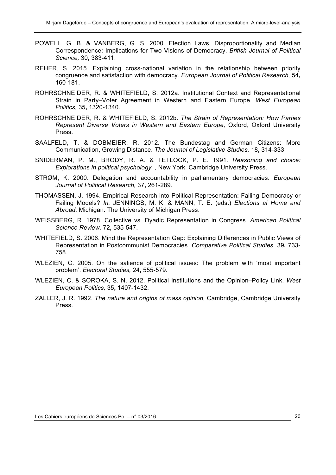- POWELL, G. B. & VANBERG, G. S. 2000. Election Laws, Disproportionality and Median Correspondence: Implications for Two Visions of Democracy. *British Journal of Political Science,* 30**,** 383-411.
- REHER, S. 2015. Explaining cross-national variation in the relationship between priority congruence and satisfaction with democracy. *European Journal of Political Research,* 54**,** 160-181.
- ROHRSCHNEIDER, R. & WHITEFIELD, S. 2012a. Institutional Context and Representational Strain in Party–Voter Agreement in Western and Eastern Europe. *West European Politics,* 35**,** 1320-1340.
- ROHRSCHNEIDER, R. & WHITEFIELD, S. 2012b. *The Strain of Representation: How Parties Represent Diverse Voters in Western and Eastern Europe,* Oxford, Oxford University Press.
- SAALFELD, T. & DOBMEIER, R. 2012. The Bundestag and German Citizens: More Communication, Growing Distance. *The Journal of Legislative Studies,* 18**,** 314-333.
- SNIDERMAN, P. M., BRODY, R. A. & TETLOCK, P. E. 1991. *Reasoning and choice: Explorations in political psychology. ,* New York, Cambridge University Press.
- STRØM, K. 2000. Delegation and accountability in parliamentary democracies. *European Journal of Political Research,* 37**,** 261-289.
- THOMASSEN, J. 1994. Empirical Research into Political Representation: Failing Democracy or Failing Models? *In:* JENNINGS, M. K. & MANN, T. E. (eds.) *Elections at Home and Abroad.* Michigan: The University of Michigan Press.
- WEISSBERG, R. 1978. Collective vs. Dyadic Representation in Congress. *American Political Science Review,* 72**,** 535-547.
- WHITEFIELD, S. 2006. Mind the Representation Gap: Explaining Differences in Public Views of Representation in Postcommunist Democracies. *Comparative Political Studies,* 39**,** 733- 758.
- WLEZIEN, C. 2005. On the salience of political issues: The problem with 'most important problem'. *Electoral Studies,* 24**,** 555-579.
- WLEZIEN, C. & SOROKA, S. N. 2012. Political Institutions and the Opinion–Policy Link. *West European Politics,* 35**,** 1407-1432.
- ZALLER, J. R. 1992. *The nature and origins of mass opinion,* Cambridge, Cambridge University Press.